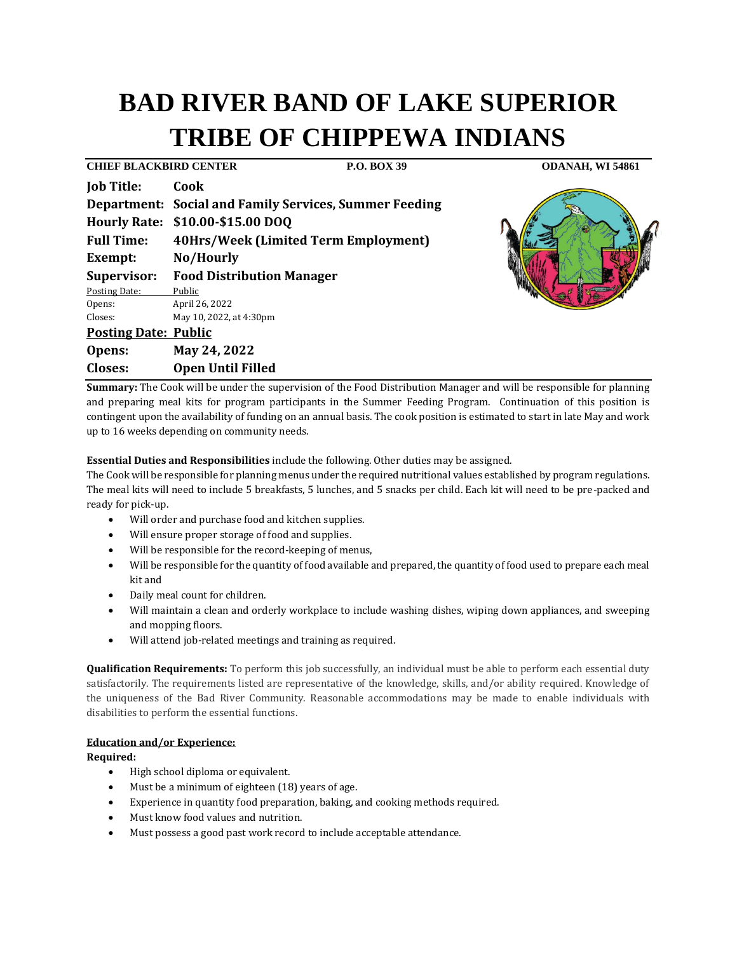# **BAD RIVER BAND OF LAKE SUPERIOR TRIBE OF CHIPPEWA INDIANS**

**CHIEF BLACKBIRD CENTER P.O. BOX 39 ODANAH, WI 54861 Job Title: Cook Department: Social and Family Services, Summer Feeding Hourly Rate: \$10.00-\$15.00 DOQ Full Time: 40Hrs/Week (Limited Term Employment) Exempt: No/Hourly Supervisor: Food Distribution Manager** Posting Date: Public Opens: April 26, 2022 Closes: May 10, 2022, at 4:30pm **Posting Date: Public Opens: May 24, 2022 Closes: Open Until Filled** 



**Summary:** The Cook will be under the supervision of the Food Distribution Manager and will be responsible for planning and preparing meal kits for program participants in the Summer Feeding Program. Continuation of this position is contingent upon the availability of funding on an annual basis. The cook position is estimated to start in late May and work up to 16 weeks depending on community needs.

**Essential Duties and Responsibilities** include the following. Other duties may be assigned.

The Cook will be responsible for planning menus under the required nutritional values established by program regulations. The meal kits will need to include 5 breakfasts, 5 lunches, and 5 snacks per child. Each kit will need to be pre-packed and ready for pick-up.

- Will order and purchase food and kitchen supplies.
- Will ensure proper storage of food and supplies.
- Will be responsible for the record-keeping of menus,
- Will be responsible for the quantity of food available and prepared, the quantity of food used to prepare each meal kit and
- Daily meal count for children.
- Will maintain a clean and orderly workplace to include washing dishes, wiping down appliances, and sweeping and mopping floors.
- Will attend job-related meetings and training as required.

**Qualification Requirements:** To perform this job successfully, an individual must be able to perform each essential duty satisfactorily. The requirements listed are representative of the knowledge, skills, and/or ability required. Knowledge of the uniqueness of the Bad River Community. Reasonable accommodations may be made to enable individuals with disabilities to perform the essential functions.

## **Education and/or Experience:**

## **Required:**

- High school diploma or equivalent.
- Must be a minimum of eighteen (18) years of age.
- Experience in quantity food preparation, baking, and cooking methods required.
- Must know food values and nutrition.
- Must possess a good past work record to include acceptable attendance.